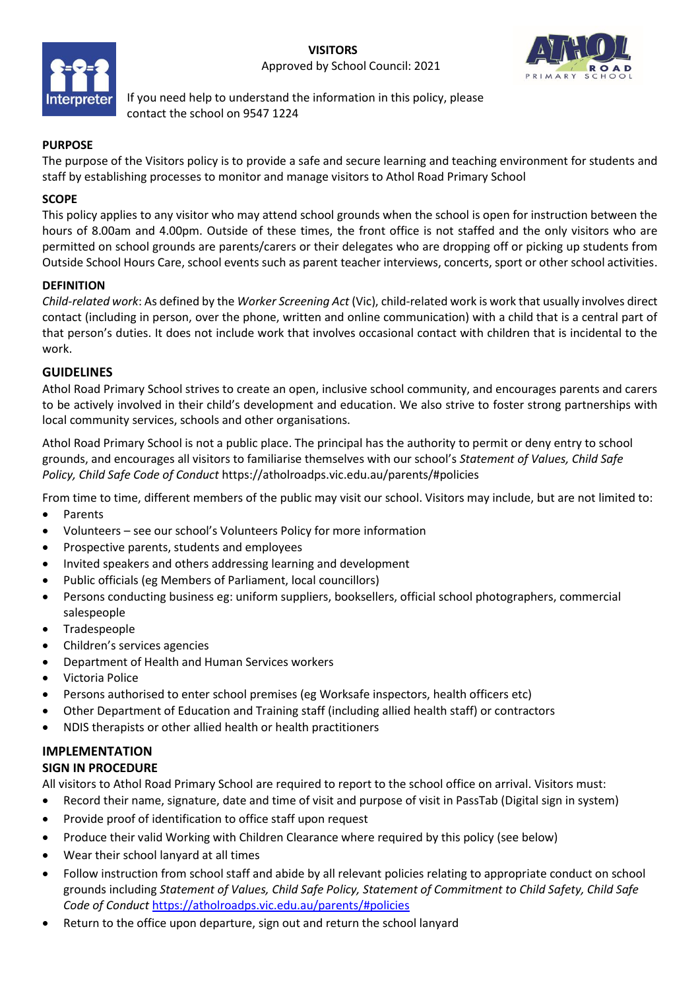

If you need help to understand the information in this policy, please contact the school on 9547 1224

# **PURPOSE**

The purpose of the Visitors policy is to provide a safe and secure learning and teaching environment for students and staff by establishing processes to monitor and manage visitors to Athol Road Primary School

## **SCOPE**

This policy applies to any visitor who may attend school grounds when the school is open for instruction between the hours of 8.00am and 4.00pm. Outside of these times, the front office is not staffed and the only visitors who are permitted on school grounds are parents/carers or their delegates who are dropping off or picking up students from Outside School Hours Care, school events such as parent teacher interviews, concerts, sport or other school activities.

## **DEFINITION**

*Child-related work*: As defined by the *Worker Screening Act* (Vic), child-related work is work that usually involves direct contact (including in person, over the phone, written and online communication) with a child that is a central part of that person's duties. It does not include work that involves occasional contact with children that is incidental to the work.

## **GUIDELINES**

Athol Road Primary School strives to create an open, inclusive school community, and encourages parents and carers to be actively involved in their child's development and education. We also strive to foster strong partnerships with local community services, schools and other organisations.

Athol Road Primary School is not a public place. The principal has the authority to permit or deny entry to school grounds, and encourages all visitors to familiarise themselves with our school's *Statement of Values, Child Safe Policy, Child Safe Code of Conduct* https://atholroadps.vic.edu.au/parents/#policies

From time to time, different members of the public may visit our school. Visitors may include, but are not limited to:

- Parents
- Volunteers see our school's Volunteers Policy for more information
- Prospective parents, students and employees
- Invited speakers and others addressing learning and development
- Public officials (eg Members of Parliament, local councillors)
- Persons conducting business eg: uniform suppliers, booksellers, official school photographers, commercial salespeople
- **Tradespeople**
- Children's services agencies
- Department of Health and Human Services workers
- Victoria Police
- Persons authorised to enter school premises (eg Worksafe inspectors, health officers etc)
- Other Department of Education and Training staff (including allied health staff) or contractors
- NDIS therapists or other allied health or health practitioners

# **IMPLEMENTATION**

#### **SIGN IN PROCEDURE**

All visitors to Athol Road Primary School are required to report to the school office on arrival. Visitors must:

- Record their name, signature, date and time of visit and purpose of visit in PassTab (Digital sign in system)
- Provide proof of identification to office staff upon request
- Produce their valid Working with Children Clearance where required by this policy (see below)
- Wear their school lanyard at all times
- Follow instruction from school staff and abide by all relevant policies relating to appropriate conduct on school grounds including *Statement of Values, Child Safe Policy, Statement of Commitment to Child Safety, Child Safe Code of Conduct* https://atholroadps.vic.edu.au/parents/#policies
- Return to the office upon departure, sign out and return the school lanyard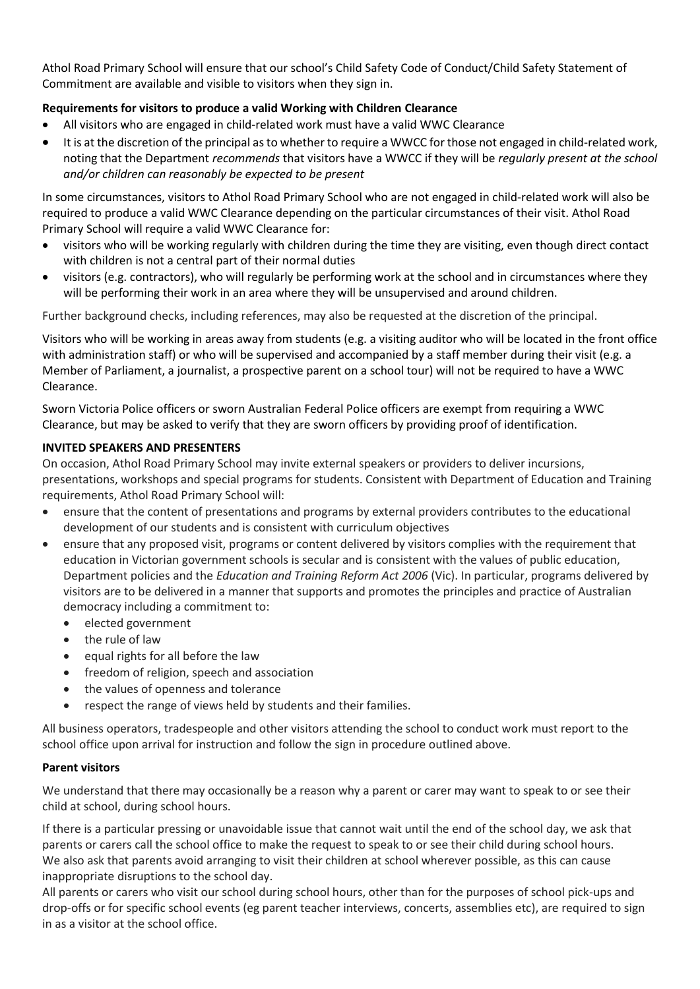Athol Road Primary School will ensure that our school's Child Safety Code of Conduct/Child Safety Statement of Commitment are available and visible to visitors when they sign in.

# **Requirements for visitors to produce a valid Working with Children Clearance**

- All visitors who are engaged in child-related work must have a valid WWC Clearance
- It is at the discretion of the principal as to whether to require a WWCC for those not engaged in child-related work, noting that the Department *recommends* that visitors have a WWCC if they will be *regularly present at the school and/or children can reasonably be expected to be present*

In some circumstances, visitors to Athol Road Primary School who are not engaged in child-related work will also be required to produce a valid WWC Clearance depending on the particular circumstances of their visit. Athol Road Primary School will require a valid WWC Clearance for:

- visitors who will be working regularly with children during the time they are visiting, even though direct contact with children is not a central part of their normal duties
- visitors (e.g. contractors), who will regularly be performing work at the school and in circumstances where they will be performing their work in an area where they will be unsupervised and around children.

Further background checks, including references, may also be requested at the discretion of the principal.

Visitors who will be working in areas away from students (e.g. a visiting auditor who will be located in the front office with administration staff) or who will be supervised and accompanied by a staff member during their visit (e.g. a Member of Parliament, a journalist, a prospective parent on a school tour) will not be required to have a WWC Clearance.

Sworn Victoria Police officers or sworn Australian Federal Police officers are exempt from requiring a WWC Clearance, but may be asked to verify that they are sworn officers by providing proof of identification.

## **INVITED SPEAKERS AND PRESENTERS**

On occasion, Athol Road Primary School may invite external speakers or providers to deliver incursions, presentations, workshops and special programs for students. Consistent with Department of Education and Training requirements, Athol Road Primary School will:

- ensure that the content of presentations and programs by external providers contributes to the educational development of our students and is consistent with curriculum objectives
- ensure that any proposed visit, programs or content delivered by visitors complies with the requirement that education in Victorian government schools is secular and is consistent with the values of public education, Department policies and the *Education and Training Reform Act 2006* (Vic). In particular, programs delivered by visitors are to be delivered in a manner that supports and promotes the principles and practice of Australian democracy including a commitment to:
	- elected government
	- the rule of law
	- equal rights for all before the law
	- freedom of religion, speech and association
	- the values of openness and tolerance
	- respect the range of views held by students and their families.

All business operators, tradespeople and other visitors attending the school to conduct work must report to the school office upon arrival for instruction and follow the sign in procedure outlined above.

## **Parent visitors**

We understand that there may occasionally be a reason why a parent or carer may want to speak to or see their child at school, during school hours.

If there is a particular pressing or unavoidable issue that cannot wait until the end of the school day, we ask that parents or carers call the school office to make the request to speak to or see their child during school hours. We also ask that parents avoid arranging to visit their children at school wherever possible, as this can cause inappropriate disruptions to the school day.

All parents or carers who visit our school during school hours, other than for the purposes of school pick-ups and drop-offs or for specific school events (eg parent teacher interviews, concerts, assemblies etc), are required to sign in as a visitor at the school office.